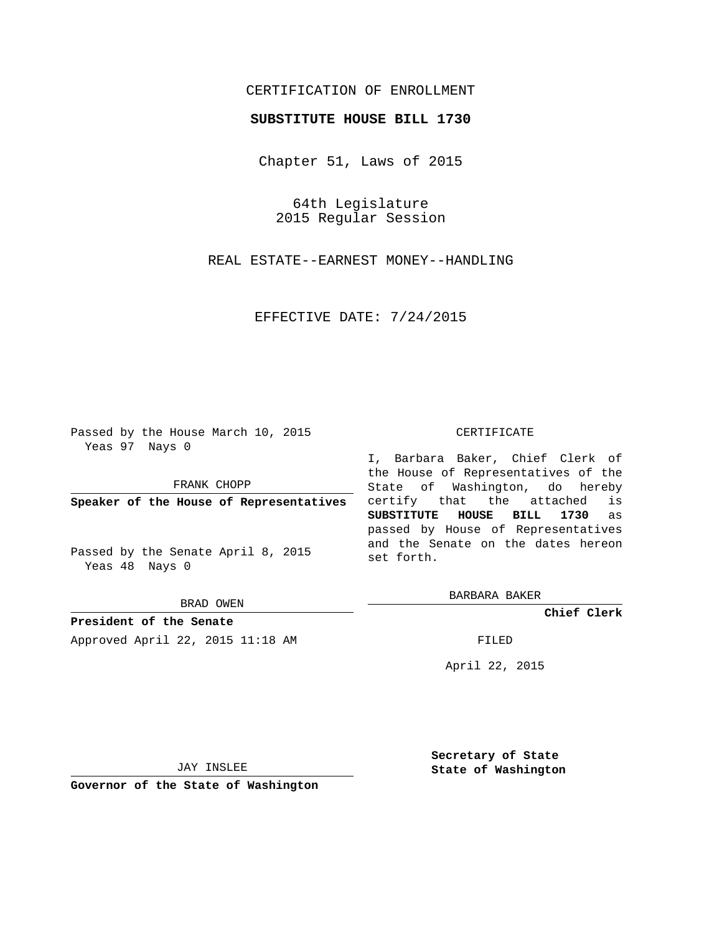## CERTIFICATION OF ENROLLMENT

## **SUBSTITUTE HOUSE BILL 1730**

Chapter 51, Laws of 2015

64th Legislature 2015 Regular Session

REAL ESTATE--EARNEST MONEY--HANDLING

EFFECTIVE DATE: 7/24/2015

Passed by the House March 10, 2015 Yeas 97 Nays 0

FRANK CHOPP

**Speaker of the House of Representatives**

Passed by the Senate April 8, 2015 Yeas 48 Nays 0

BRAD OWEN

**President of the Senate** Approved April 22, 2015 11:18 AM FILED

## CERTIFICATE

I, Barbara Baker, Chief Clerk of the House of Representatives of the State of Washington, do hereby certify that the attached is **SUBSTITUTE HOUSE BILL 1730** as passed by House of Representatives and the Senate on the dates hereon set forth.

BARBARA BAKER

**Chief Clerk**

April 22, 2015

JAY INSLEE

**Governor of the State of Washington**

**Secretary of State State of Washington**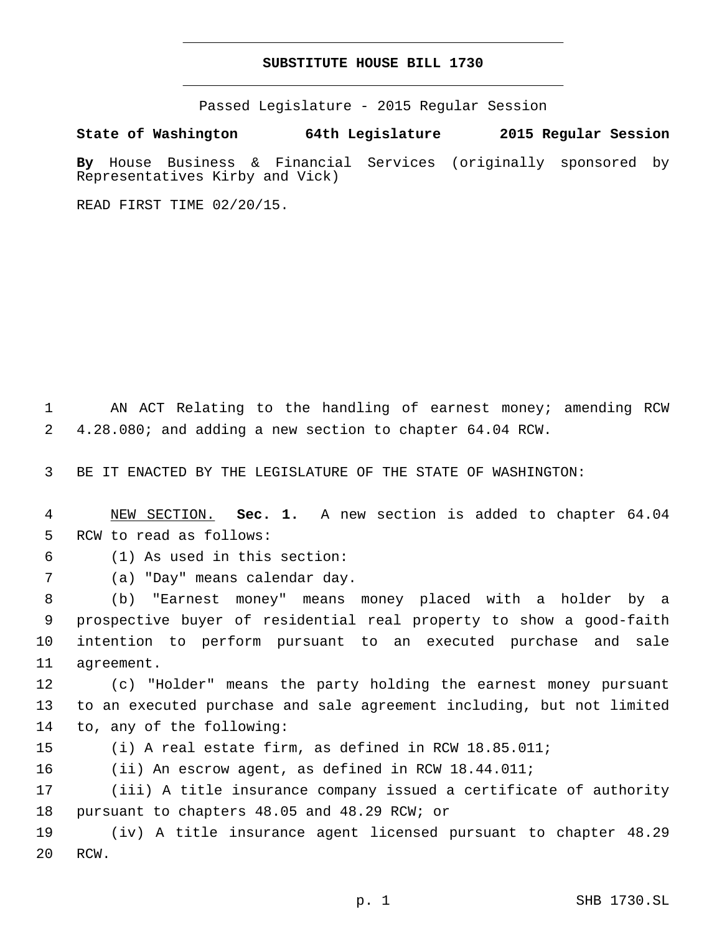## **SUBSTITUTE HOUSE BILL 1730**

Passed Legislature - 2015 Regular Session

**State of Washington 64th Legislature 2015 Regular Session**

**By** House Business & Financial Services (originally sponsored by Representatives Kirby and Vick)

READ FIRST TIME 02/20/15.

1 AN ACT Relating to the handling of earnest money; amending RCW 2 4.28.080; and adding a new section to chapter 64.04 RCW.

3 BE IT ENACTED BY THE LEGISLATURE OF THE STATE OF WASHINGTON:

4 NEW SECTION. **Sec. 1.** A new section is added to chapter 64.04 5 RCW to read as follows:

(1) As used in this section:6

7 (a) "Day" means calendar day.

 (b) "Earnest money" means money placed with a holder by a prospective buyer of residential real property to show a good-faith intention to perform pursuant to an executed purchase and sale 11 agreement.

12 (c) "Holder" means the party holding the earnest money pursuant 13 to an executed purchase and sale agreement including, but not limited 14 to, any of the following:

15 (i) A real estate firm, as defined in RCW 18.85.011;

16 (ii) An escrow agent, as defined in RCW 18.44.011;

17 (iii) A title insurance company issued a certificate of authority 18 pursuant to chapters 48.05 and 48.29 RCW; or

19 (iv) A title insurance agent licensed pursuant to chapter 48.29 20 RCW.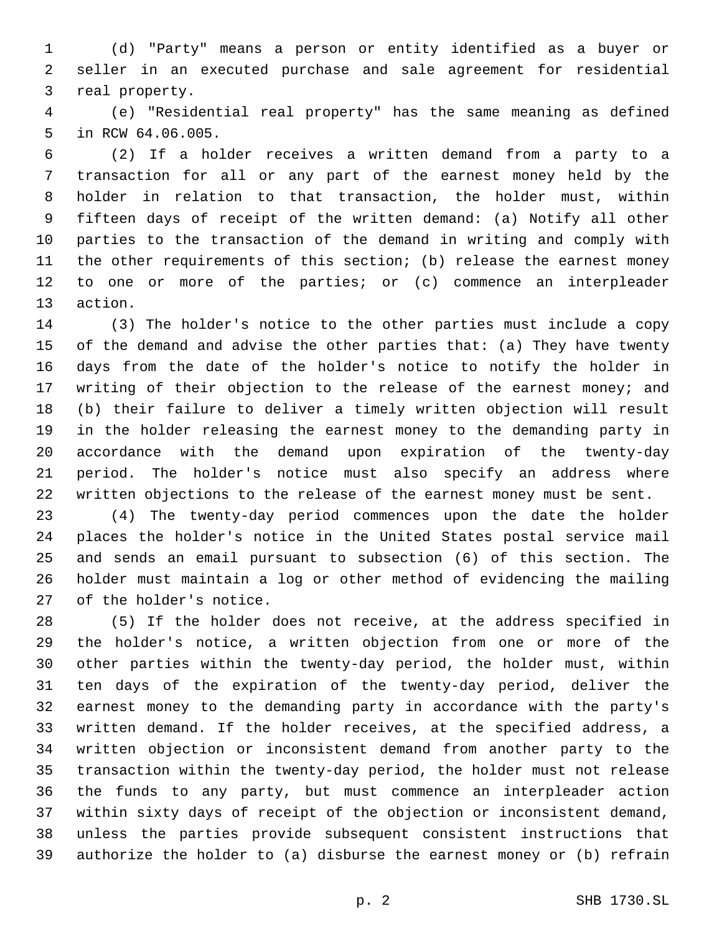(d) "Party" means a person or entity identified as a buyer or seller in an executed purchase and sale agreement for residential 3 real property.

 (e) "Residential real property" has the same meaning as defined 5 in RCW 64.06.005.

 (2) If a holder receives a written demand from a party to a transaction for all or any part of the earnest money held by the holder in relation to that transaction, the holder must, within fifteen days of receipt of the written demand: (a) Notify all other parties to the transaction of the demand in writing and comply with the other requirements of this section; (b) release the earnest money to one or more of the parties; or (c) commence an interpleader 13 action.

 (3) The holder's notice to the other parties must include a copy of the demand and advise the other parties that: (a) They have twenty days from the date of the holder's notice to notify the holder in 17 writing of their objection to the release of the earnest money; and (b) their failure to deliver a timely written objection will result in the holder releasing the earnest money to the demanding party in accordance with the demand upon expiration of the twenty-day period. The holder's notice must also specify an address where written objections to the release of the earnest money must be sent.

 (4) The twenty-day period commences upon the date the holder places the holder's notice in the United States postal service mail and sends an email pursuant to subsection (6) of this section. The holder must maintain a log or other method of evidencing the mailing 27 of the holder's notice.

 (5) If the holder does not receive, at the address specified in the holder's notice, a written objection from one or more of the other parties within the twenty-day period, the holder must, within ten days of the expiration of the twenty-day period, deliver the earnest money to the demanding party in accordance with the party's written demand. If the holder receives, at the specified address, a written objection or inconsistent demand from another party to the transaction within the twenty-day period, the holder must not release the funds to any party, but must commence an interpleader action within sixty days of receipt of the objection or inconsistent demand, unless the parties provide subsequent consistent instructions that authorize the holder to (a) disburse the earnest money or (b) refrain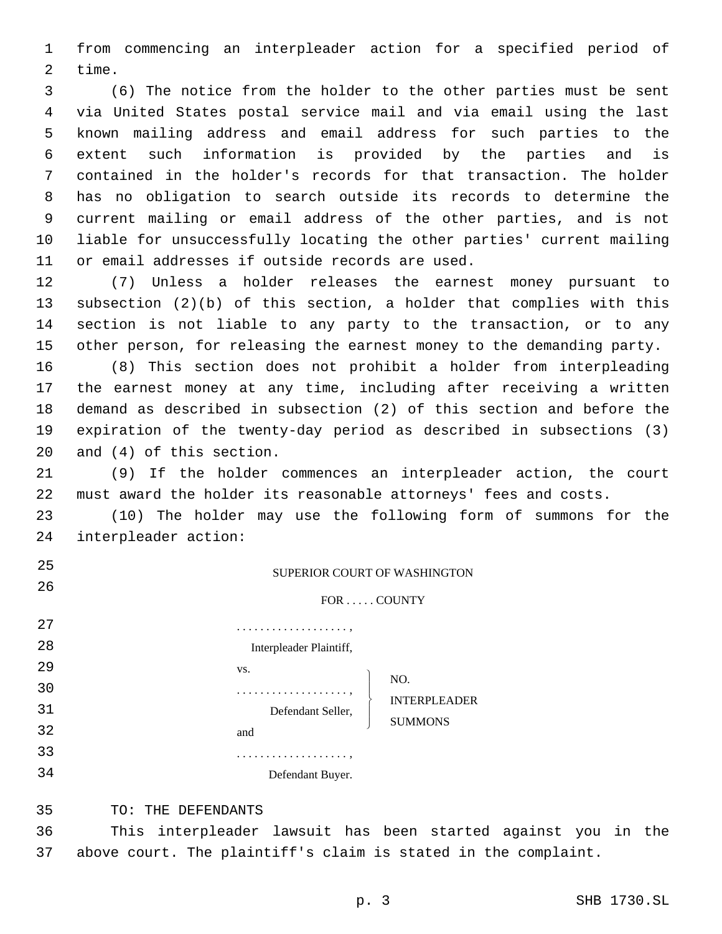1 from commencing an interpleader action for a specified period of 2 time.

 (6) The notice from the holder to the other parties must be sent via United States postal service mail and via email using the last known mailing address and email address for such parties to the extent such information is provided by the parties and is contained in the holder's records for that transaction. The holder has no obligation to search outside its records to determine the current mailing or email address of the other parties, and is not liable for unsuccessfully locating the other parties' current mailing 11 or email addresses if outside records are used.

 (7) Unless a holder releases the earnest money pursuant to subsection (2)(b) of this section, a holder that complies with this section is not liable to any party to the transaction, or to any other person, for releasing the earnest money to the demanding party.

 (8) This section does not prohibit a holder from interpleading the earnest money at any time, including after receiving a written demand as described in subsection (2) of this section and before the expiration of the twenty-day period as described in subsections (3) and  $(4)$  of this section.

21 (9) If the holder commences an interpleader action, the court 22 must award the holder its reasonable attorneys' fees and costs.

23 (10) The holder may use the following form of summons for the 24 interpleader action:

| 25 | <b>SUPERIOR COURT OF WASHINGTON</b>      |  |
|----|------------------------------------------|--|
| 26 | $FOR \ldots$ . COUNTY                    |  |
| 27 |                                          |  |
| 28 | Interpleader Plaintiff,                  |  |
| 29 | VS.                                      |  |
| 30 | NO.                                      |  |
| 31 | <b>INTERPLEADER</b><br>Defendant Seller, |  |
| 32 | <b>SUMMONS</b><br>and                    |  |
| 33 | .                                        |  |
| 34 | Defendant Buyer.                         |  |

35 TO: THE DEFENDANTS

36 This interpleader lawsuit has been started against you in the 37 above court. The plaintiff's claim is stated in the complaint.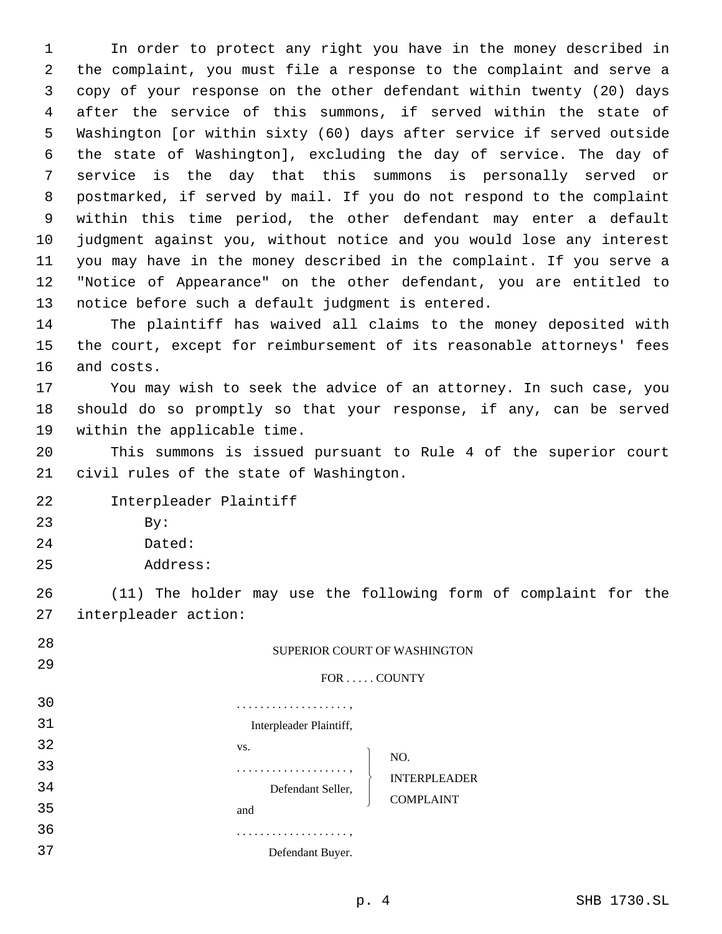In order to protect any right you have in the money described in the complaint, you must file a response to the complaint and serve a copy of your response on the other defendant within twenty (20) days after the service of this summons, if served within the state of Washington [or within sixty (60) days after service if served outside the state of Washington], excluding the day of service. The day of service is the day that this summons is personally served or postmarked, if served by mail. If you do not respond to the complaint within this time period, the other defendant may enter a default judgment against you, without notice and you would lose any interest you may have in the money described in the complaint. If you serve a "Notice of Appearance" on the other defendant, you are entitled to 13 notice before such a default judgment is entered.

14 The plaintiff has waived all claims to the money deposited with 15 the court, except for reimbursement of its reasonable attorneys' fees 16 and costs.

17 You may wish to seek the advice of an attorney. In such case, you 18 should do so promptly so that your response, if any, can be served 19 within the applicable time.

20 This summons is issued pursuant to Rule 4 of the superior court 21 civil rules of the state of Washington.

22 Interpleader Plaintiff

- 23 By:
- 24 Dated:
- Address:25

26 (11) The holder may use the following form of complaint for the 27 interpleader action:

| 28 | SUPERIOR COURT OF WASHINGTON             |  |
|----|------------------------------------------|--|
| 29 | FOR  COUNTY                              |  |
| 30 |                                          |  |
| 31 | Interpleader Plaintiff,                  |  |
| 32 | VS.                                      |  |
| 33 | NO.<br>.                                 |  |
| 34 | <b>INTERPLEADER</b><br>Defendant Seller, |  |
| 35 | <b>COMPLAINT</b><br>and                  |  |
| 36 | .                                        |  |
| 37 | Defendant Buyer.                         |  |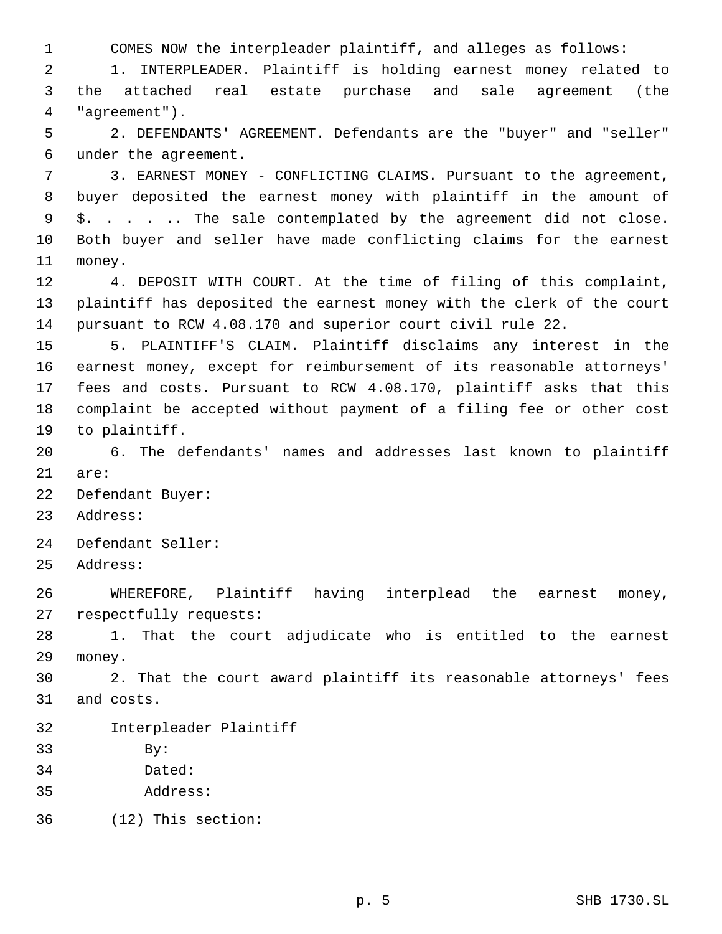1 COMES NOW the interpleader plaintiff, and alleges as follows:

2 1. INTERPLEADER. Plaintiff is holding earnest money related to 3 the attached real estate purchase and sale agreement (the "agreement").4

5 2. DEFENDANTS' AGREEMENT. Defendants are the "buyer" and "seller" 6 under the agreement.

 3. EARNEST MONEY - CONFLICTING CLAIMS. Pursuant to the agreement, buyer deposited the earnest money with plaintiff in the amount of \$. . . . .. The sale contemplated by the agreement did not close. Both buyer and seller have made conflicting claims for the earnest 11 money.

12 4. DEPOSIT WITH COURT. At the time of filing of this complaint, 13 plaintiff has deposited the earnest money with the clerk of the court 14 pursuant to RCW 4.08.170 and superior court civil rule 22.

 5. PLAINTIFF'S CLAIM. Plaintiff disclaims any interest in the earnest money, except for reimbursement of its reasonable attorneys' fees and costs. Pursuant to RCW 4.08.170, plaintiff asks that this complaint be accepted without payment of a filing fee or other cost 19 to plaintiff.

20 6. The defendants' names and addresses last known to plaintiff 21 are:

22 Defendant Buyer:

23 Address:

24 Defendant Seller:

25 Address:

26 WHEREFORE, Plaintiff having interplead the earnest money, 27 respectfully requests:

28 1. That the court adjudicate who is entitled to the earnest 29 money.

30 2. That the court award plaintiff its reasonable attorneys' fees 31 and costs.

32 Interpleader Plaintiff

33 By:

- 34 Dated:
- Address:35

(12) This section:36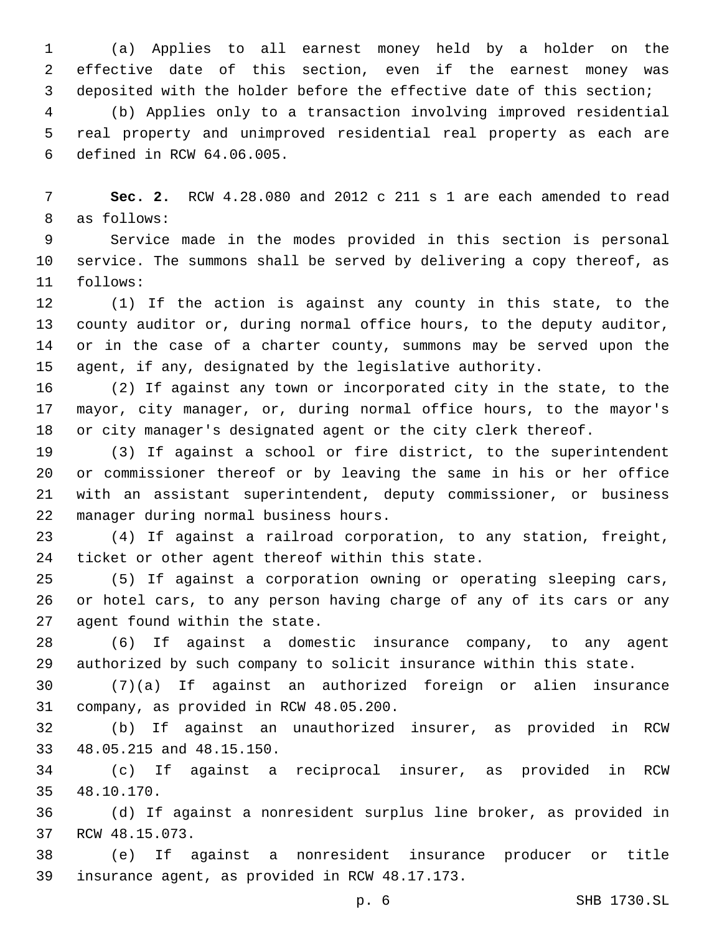(a) Applies to all earnest money held by a holder on the effective date of this section, even if the earnest money was deposited with the holder before the effective date of this section;

 (b) Applies only to a transaction involving improved residential real property and unimproved residential real property as each are 6 defined in RCW 64.06.005.

 **Sec. 2.** RCW 4.28.080 and 2012 c 211 s 1 are each amended to read 8 as follows:

 Service made in the modes provided in this section is personal service. The summons shall be served by delivering a copy thereof, as follows:11

 (1) If the action is against any county in this state, to the county auditor or, during normal office hours, to the deputy auditor, or in the case of a charter county, summons may be served upon the agent, if any, designated by the legislative authority.

 (2) If against any town or incorporated city in the state, to the mayor, city manager, or, during normal office hours, to the mayor's or city manager's designated agent or the city clerk thereof.

 (3) If against a school or fire district, to the superintendent or commissioner thereof or by leaving the same in his or her office with an assistant superintendent, deputy commissioner, or business manager during normal business hours.22

 (4) If against a railroad corporation, to any station, freight, 24 ticket or other agent thereof within this state.

 (5) If against a corporation owning or operating sleeping cars, or hotel cars, to any person having charge of any of its cars or any 27 agent found within the state.

 (6) If against a domestic insurance company, to any agent authorized by such company to solicit insurance within this state.

 (7)(a) If against an authorized foreign or alien insurance 31 company, as provided in RCW 48.05.200.

 (b) If against an unauthorized insurer, as provided in RCW 33 48.05.215 and 48.15.150.

 (c) If against a reciprocal insurer, as provided in RCW 48.10.170.35

 (d) If against a nonresident surplus line broker, as provided in 37 RCW 48.15.073.

 (e) If against a nonresident insurance producer or title 39 insurance agent, as provided in RCW 48.17.173.

p. 6 SHB 1730.SL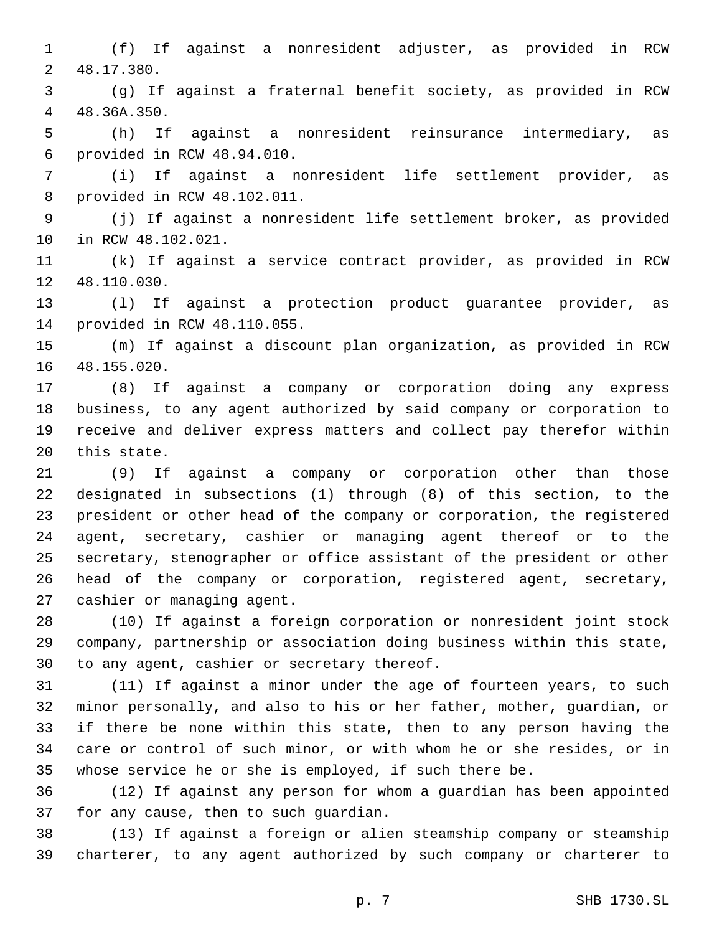(f) If against a nonresident adjuster, as provided in RCW 48.17.380.2

 (g) If against a fraternal benefit society, as provided in RCW 48.36A.350.4

 (h) If against a nonresident reinsurance intermediary, as provided in RCW 48.94.010.6

 (i) If against a nonresident life settlement provider, as 8 provided in RCW 48.102.011.

 (j) If against a nonresident life settlement broker, as provided 10 in RCW 48.102.021.

 (k) If against a service contract provider, as provided in RCW 12 48.110.030.

 (l) If against a protection product guarantee provider, as 14 provided in RCW 48.110.055.

 (m) If against a discount plan organization, as provided in RCW 16 48.155.020.

 (8) If against a company or corporation doing any express business, to any agent authorized by said company or corporation to receive and deliver express matters and collect pay therefor within 20 this state.

 (9) If against a company or corporation other than those designated in subsections (1) through (8) of this section, to the president or other head of the company or corporation, the registered agent, secretary, cashier or managing agent thereof or to the secretary, stenographer or office assistant of the president or other head of the company or corporation, registered agent, secretary, 27 cashier or managing agent.

 (10) If against a foreign corporation or nonresident joint stock company, partnership or association doing business within this state, 30 to any agent, cashier or secretary thereof.

 (11) If against a minor under the age of fourteen years, to such minor personally, and also to his or her father, mother, guardian, or if there be none within this state, then to any person having the care or control of such minor, or with whom he or she resides, or in whose service he or she is employed, if such there be.

 (12) If against any person for whom a guardian has been appointed 37 for any cause, then to such guardian.

 (13) If against a foreign or alien steamship company or steamship charterer, to any agent authorized by such company or charterer to